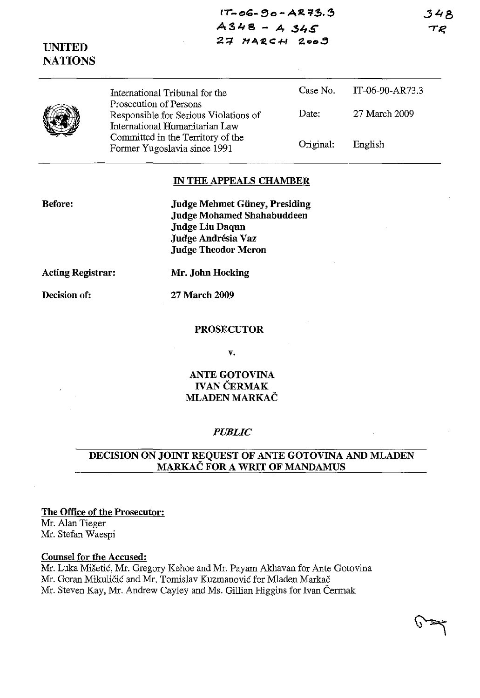348 TR

 $17 - 06 - 90 - AR73.3$ **AS048 - A** *.\$4S*  27 MARCH 2009

# **UNITED NATIONS**

|  | International Tribunal for the                                                                    |           | Case No. IT-06-90-AR73.3 |  |
|--|---------------------------------------------------------------------------------------------------|-----------|--------------------------|--|
|  | Prosecution of Persons<br>Responsible for Serious Violations of<br>International Humanitarian Law | Date:     | 27 March 2009            |  |
|  | Committed in the Territory of the<br>Former Yugoslavia since 1991                                 | Original: | English                  |  |

### **IN THE APPEALS CHAMBER**

**Judge Mehmet Guney, Presiding Judge Mohamed Shahabuddeen Judge Liu Daqun Judge Andresia Vaz Judge Theodor Meron** 

**Acting Registrar: Mr. John Hocking** 

**Before:** 

**Decision of: 27 March 2009** 

#### **PROSECUTOR**

**v.** 

### **ANTE GOTOVINA IVAN ČERMAK MLADEN MARKAC**

#### *PUBLIC*

### **DECISION ON JOINT REQUEST OF ANTE GOTOVINA AND MLADEN MARKAC FOR A WRIT OF MANDAMUS**

### **The Office of the Prosecutor:**

Mr. Alan Tieger Mr. Stefan Waespi

#### **Counsel for the Accused:**

Mr. Luka Misetic, Mr. Gregory Kehoe and Mr. Payam Akhavan for Ante Gotovina Mr. Goran Mikuličić and Mr. Tomislav Kuzmanović for Mladen Markač Mr. Steven Kay, Mr. Andrew Cayley and Ms. Gillian Higgins for Ivan Cermak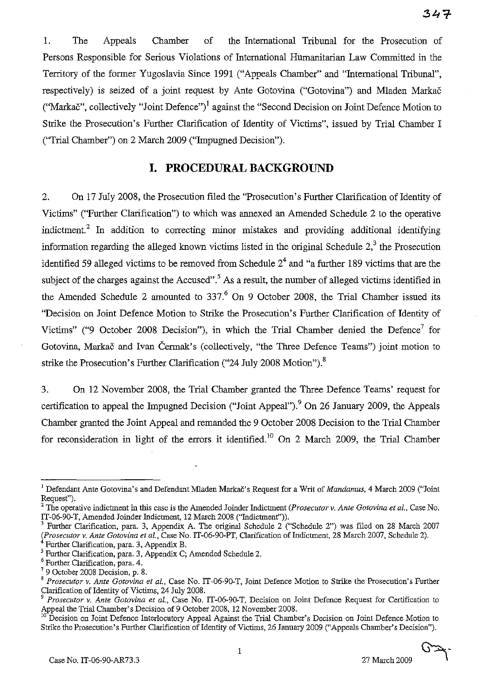1. The Appeals Chamber of the International Tribunal for the Prosecution of Persons Responsible for Serious Violations of International Humanitarian Law Committed in the Territory of the former Yugoslavia Since 1991 ("Appeals Chamber" and "International Tribunal", respectively) is seized of a joint request by Ante Gotovina ("Gotovina") and Mladen Markac ("Markač", collectively "Joint Defence")<sup>1</sup> against the "Second Decision on Joint Defence Motion to Strike the Prosecution's Further Clarification of Identity of Victims", issued by Trial Chamber I ("Trial Chamber") on 2 March 2009 ("Impugned Decision").

## **I. PROCEDURAL BACKGROUND**

2. On 17 July 2008, the Prosecution filed the "Prosecution's Further Clarification of Identity of Victims" ("Further Clarification") to which was annexed an Amended Schedule 2 to the operative indictment.<sup>2</sup> In addition to correcting minor mistakes and providing additional identifying information regarding the alleged known victims listed in the original Schedule  $2<sup>3</sup>$ , the Prosecution identified 59 alleged victims to be removed from Schedule  $2<sup>4</sup>$  and "a further 189 victims that are the subject of the charges against the Accused". As a result, the number of alleged victims identified in the Amended Schedule 2 amounted to  $337<sup>6</sup>$  On 9 October 2008, the Trial Chamber issued its "Decision on Joint Defence Motion to Strike the Prosecution's Further Clarification of Identity of Victims" ("9 October 2008 Decision"), in which the Trial Chamber denied the Defence<sup>7</sup> for Gotovina, Markač and Ivan Čermak's (collectively, "the Three Defence Teams") joint motion to strike the Prosecution's Further Clarification ("24 July 2008 Motion"). $8$ 

3. On 12 November 2008, the Trial Chamber granted the Three Defence Teams' request for certification to appeal the Impugned Decision ("Joint Appeal").<sup>9</sup> On 26 January 2009, the Appeals Chamber granted the Joint Appeal and remanded the 9 October 2008 Decision to the Trial Chamber for reconsideration in light of the errors it identified.<sup>10</sup> On 2 March 2009, the Trial Chamber



<sup>&</sup>lt;sup>1</sup> Defendant Ante Gotovina's and Defendant Mladen Markač's Request for a Writ of *Mandamus*, 4 March 2009 ("Joint Request").

The operative indictment in this case is the Amended Joinder Indictment *(Prosecutor v. Ante Gotovina et al., Case No.* IT-06-90-T, Amended Joinder Indictment, 12 March 200S ("Indictment")).

Further Clarification, para. 3, Appendix A. The original Schedule 2 ("Schedule 2") was filed on 28 March 2007 *(Prosecutor* v. *Ante Gotovina et aI.,* Case No. IT-06-90-PT, Clarification of Indictment, 2S March 2007, Schedule 2). 4 Further Clarification, para. 3, Appendix B.

<sup>5</sup> Further Clarification, para. 3, Appendix C; Amended Schedule 2.

Further Clarification, para. 4.

<sup>79</sup> October 200S Decision, p. S.

<sup>8</sup>*Prosecutor* v. *Ante Gotovina et aI.,* Case No. IT-06-90-T, Joint Defence Motion to Strike the Prosecution's Further Clarification of Identity of Victims, 24 July 200S.

*<sup>9</sup> Prosecutor* v. *Ante Gotovina et aI.,* Case No. IT-06-90-T, Decision on Joint Defence Request for Certification to Appeal the Trial Chamber's Decision of 9 October 2008, 12 November 2008.

<sup>10</sup> Decision on Joint Defence Interlocutory Appeal Against the Trial Chamber's Decision on Joint Defence Motion to Strike the Prosecution's Further Clarification of Identity of Victims, 26 January 2009 ("Appeals Chamber's Decision").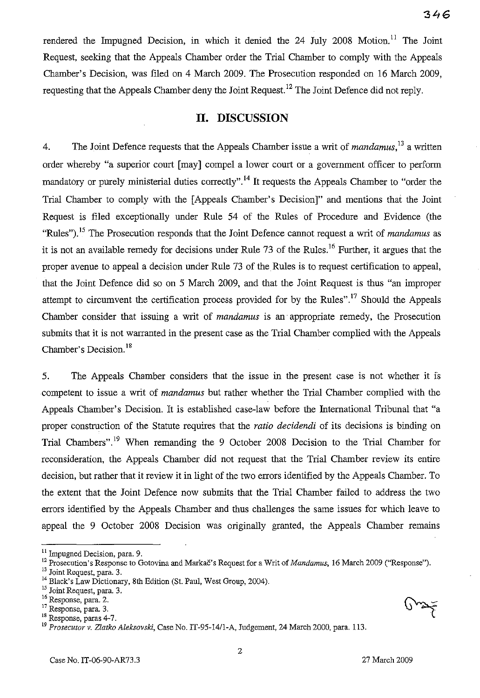rendered the Impugned Decision, in which it denied the  $24$  July  $2008$  Motion.<sup>11</sup> The Joint Request, seeking that the Appeals Chamber order the Trial Chamber to comply with the Appeals Chamber's Decision, was filed on 4 March 2009. The Prosecution responded on 16 March 2009, requesting that the Appeals Chamber deny the Joint Request.<sup>12</sup> The Joint Defence did not reply.

## **II. DISCUSSION**

4. The Joint Defence requests that the Appeals Chamber issue a writ of *mandamus,13* a written order whereby "a superior court [may] compel a lower court or a government officer to perform mandatory or purely ministerial duties correctly".<sup>14</sup> It requests the Appeals Chamber to "order the Trial Chamber to comply with the [Appeals Chamber's Decision]" and mentions that the Joint Request is filed exceptionally under Rule 54 of the Rules of Procedure and Evidence (the "Rules").<sup>15</sup> The Prosecution responds that the Joint Defence cannot request a writ of *mandamus* as it is not an available remedy for decisions under Rule 73 of the Rules.<sup>16</sup> Further, it argues that the proper avenue to appeal a decision under Rule 73 of the Rules is to request certification to appeal, that the Joint Defence did so on 5 March 2009, and that the Joint Request is thus "an improper attempt to circumvent the certification process provided for by the Rules".<sup>17</sup> Should the Appeals Chamber consider that issuing a writ of *mandamus* is an appropriate remedy, the Prosecution submits that it is not warranted in the present case as the Trial Chamber complied with the Appeals Chamber's Decision. 18

5. The Appeals Chamber considers that the issue in the present case is not whether it is competent to issue a writ of *mandamus* but rather whether the Trial Chamber complied with the Appeals Chamber's Decision. It is established case-law before the International Tribunal that "a proper construction of the Statute requires that the *ratio decidendi* of its decisions is binding on Trial Chambers".<sup>19</sup> When remanding the 9 October 2008 Decision to the Trial Chamber for reconsideration, the Appeals Chamber did not request that the Trial Chamber review its entire decision, but rather that it review it in light of the two errors identified by the Appeals Chamber. To the extent that the Joint Defence now submits that the Trial Chamber failed to address the two errors identified by the Appeals Chamber and thus challenges the same issues for which leave to appeal the 9 October 2008 Decision was originally granted, the Appeals Chamber remains

<sup>&</sup>lt;sup>11</sup> Impugned Decision, para. 9.

<sup>12</sup> Prosecution's Response to Gotovina and Markač's Request for a Writ of *Mandamus*, 16 March 2009 ("Response").

<sup>&</sup>lt;sup>13</sup> Joint Request, para. 3.

<sup>&</sup>lt;sup>14</sup> Black's Law Dictionary, 8th Edition (St. Paul, West Group, 2004).

 $\frac{15}{15}$  Joint Request, para. 3.

 $^{16}$  Response, para. 2.<br> $^{17}$  Response, para. 3.

 $18$  Response, paras 4-7.

*<sup>19</sup> Prosecutor* v. *Zlatko Aleksovski,* Case No. *IT-95-14/1-A,* Judgement, 24 March 2000, para. 113.